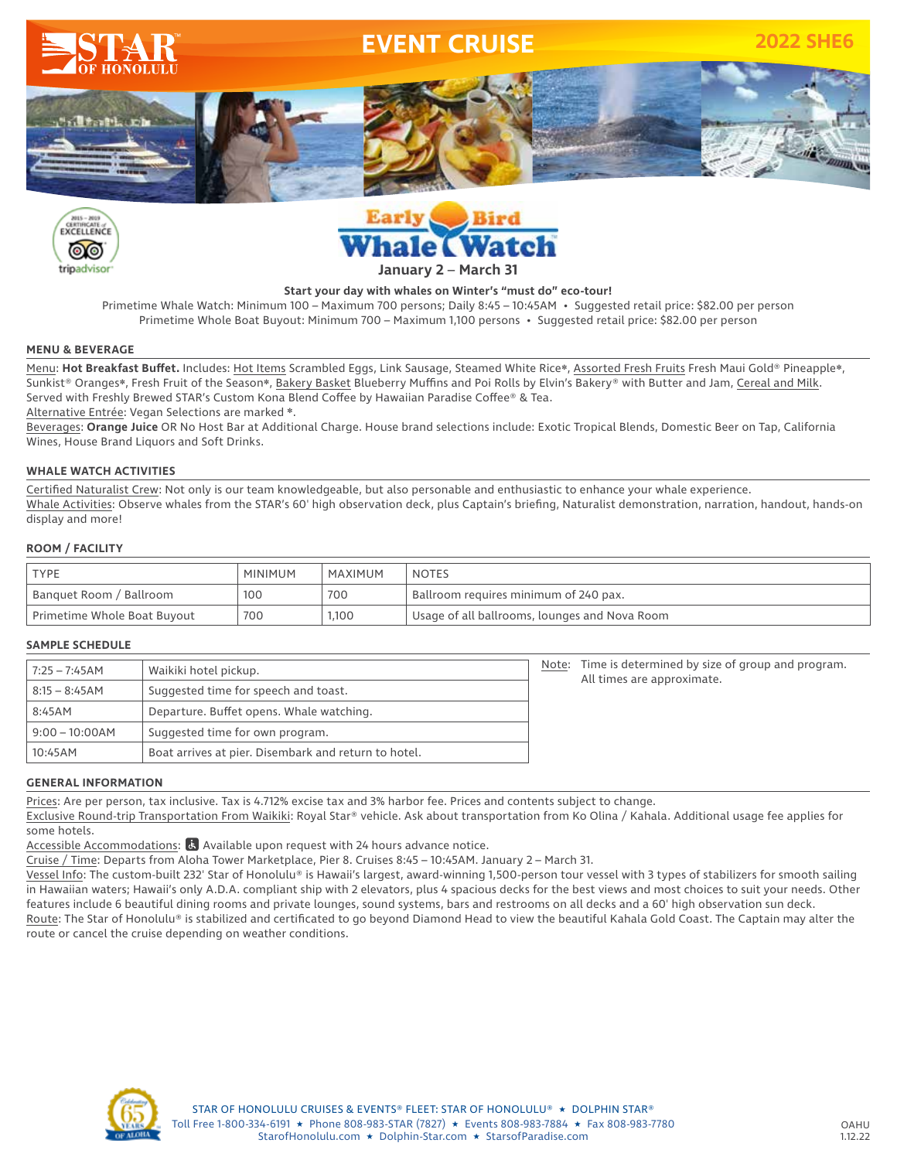





### **Start your day with whales on Winter's "must do" eco-tour!**

Primetime Whale Watch: Minimum 100 – Maximum 700 persons; Daily 8:45 – 10:45AM • Suggested retail price: \$82.00 per person Primetime Whole Boat Buyout: Minimum 700 – Maximum 1,100 persons • Suggested retail price: \$82.00 per person

### **MENU & BEVERAGE**

Menu: Hot Breakfast Buffet. Includes: Hot Items Scrambled Eggs, Link Sausage, Steamed White Rice\*, Assorted Fresh Fruits Fresh Maui Gold® Pineapple\*, Sunkist® Oranges❋, Fresh Fruit of the Season❋, Bakery Basket Blueberry Muffins and Poi Rolls by Elvin's Bakery® with Butter and Jam, Cereal and Milk. Served with Freshly Brewed STAR's Custom Kona Blend Coffee by Hawaiian Paradise Coffee® & Tea. Alternative Entrée: Vegan Selections are marked ❋.

Beverages: **Orange Juice** OR No Host Bar at Additional Charge. House brand selections include: Exotic Tropical Blends, Domestic Beer on Tap, California Wines, House Brand Liquors and Soft Drinks.

### **WHALE WATCH ACTIVITIES**

Certified Naturalist Crew: Not only is our team knowledgeable, but also personable and enthusiastic to enhance your whale experience. Whale Activities: Observe whales from the STAR's 60' high observation deck, plus Captain's briefing, Naturalist demonstration, narration, handout, hands-on display and more!

### **ROOM / FACILITY**

| <b>TYPE</b>                 | <b>MINIMUM</b> | MAXIMUM | <b>NOTES</b>                                  |  |
|-----------------------------|----------------|---------|-----------------------------------------------|--|
| Banquet Room / Ballroom     | 100            | 700     | Ballroom requires minimum of 240 pax.         |  |
| Primetime Whole Boat Buyout | 700            | 1,100   | Usage of all ballrooms, lounges and Nova Room |  |

#### **SAMPLE SCHEDULE**

| 7:25 – 7:45AM                                        | Waikiki hotel pickup.                                |  | Time is determined by size of group and program.<br>All times are approximate. |
|------------------------------------------------------|------------------------------------------------------|--|--------------------------------------------------------------------------------|
| $8:15 - 8:45AM$                                      | Suggested time for speech and toast.                 |  |                                                                                |
| 8:45AM                                               | Departure. Buffet opens. Whale watching.             |  |                                                                                |
| Suggested time for own program.<br>$9:00 - 10:00$ AM |                                                      |  |                                                                                |
| 10:45AM                                              | Boat arrives at pier. Disembark and return to hotel. |  |                                                                                |

### **GENERAL INFORMATION**

Prices: Are per person, tax inclusive. Tax is 4.712% excise tax and 3% harbor fee. Prices and contents subject to change.

Exclusive Round-trip Transportation From Waikiki: Royal Star® vehicle. Ask about transportation from Ko Olina / Kahala. Additional usage fee applies for some hotels.

Accessible Accommodations:  $\mathbb{R}$  Available upon request with 24 hours advance notice.

Cruise / Time: Departs from Aloha Tower Marketplace, Pier 8. Cruises 8:45 – 10:45AM. January 2 – March 31.

Vessel Info: The custom-built 232' Star of Honolulu® is Hawaii's largest, award-winning 1,500-person tour vessel with 3 types of stabilizers for smooth sailing in Hawaiian waters; Hawaii's only A.D.A. compliant ship with 2 elevators, plus 4 spacious decks for the best views and most choices to suit your needs. Other features include 6 beautiful dining rooms and private lounges, sound systems, bars and restrooms on all decks and a 60' high observation sun deck. Route: The Star of Honolulu® is stabilized and certificated to go beyond Diamond Head to view the beautiful Kahala Gold Coast. The Captain may alter the route or cancel the cruise depending on weather conditions.